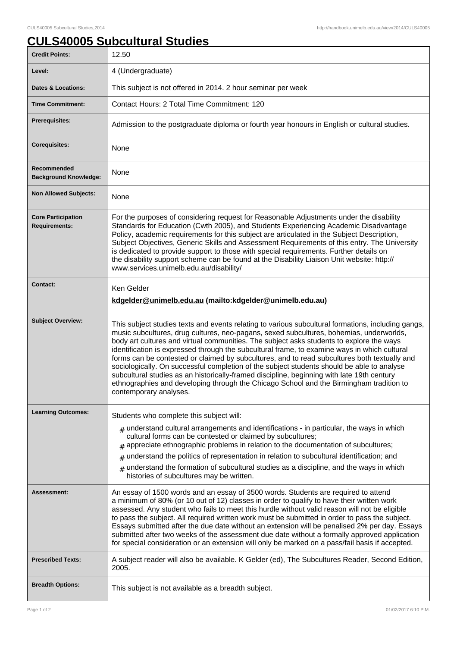## **CULS40005 Subcultural Studies**

| <b>Credit Points:</b>                             | 12.50                                                                                                                                                                                                                                                                                                                                                                                                                                                                                                                                                                                                                                                                                                                                                                                                      |
|---------------------------------------------------|------------------------------------------------------------------------------------------------------------------------------------------------------------------------------------------------------------------------------------------------------------------------------------------------------------------------------------------------------------------------------------------------------------------------------------------------------------------------------------------------------------------------------------------------------------------------------------------------------------------------------------------------------------------------------------------------------------------------------------------------------------------------------------------------------------|
| Level:                                            | 4 (Undergraduate)                                                                                                                                                                                                                                                                                                                                                                                                                                                                                                                                                                                                                                                                                                                                                                                          |
| <b>Dates &amp; Locations:</b>                     | This subject is not offered in 2014. 2 hour seminar per week                                                                                                                                                                                                                                                                                                                                                                                                                                                                                                                                                                                                                                                                                                                                               |
| <b>Time Commitment:</b>                           | Contact Hours: 2 Total Time Commitment: 120                                                                                                                                                                                                                                                                                                                                                                                                                                                                                                                                                                                                                                                                                                                                                                |
| <b>Prerequisites:</b>                             | Admission to the postgraduate diploma or fourth year honours in English or cultural studies.                                                                                                                                                                                                                                                                                                                                                                                                                                                                                                                                                                                                                                                                                                               |
| <b>Corequisites:</b>                              | None                                                                                                                                                                                                                                                                                                                                                                                                                                                                                                                                                                                                                                                                                                                                                                                                       |
| Recommended<br><b>Background Knowledge:</b>       | None                                                                                                                                                                                                                                                                                                                                                                                                                                                                                                                                                                                                                                                                                                                                                                                                       |
| <b>Non Allowed Subjects:</b>                      | None                                                                                                                                                                                                                                                                                                                                                                                                                                                                                                                                                                                                                                                                                                                                                                                                       |
| <b>Core Participation</b><br><b>Requirements:</b> | For the purposes of considering request for Reasonable Adjustments under the disability<br>Standards for Education (Cwth 2005), and Students Experiencing Academic Disadvantage<br>Policy, academic requirements for this subject are articulated in the Subject Description,<br>Subject Objectives, Generic Skills and Assessment Requirements of this entry. The University<br>is dedicated to provide support to those with special requirements. Further details on<br>the disability support scheme can be found at the Disability Liaison Unit website: http://<br>www.services.unimelb.edu.au/disability/                                                                                                                                                                                           |
| <b>Contact:</b>                                   | Ken Gelder<br>kdgelder@unimelb.edu.au (mailto:kdgelder@unimelb.edu.au)                                                                                                                                                                                                                                                                                                                                                                                                                                                                                                                                                                                                                                                                                                                                     |
| <b>Subject Overview:</b>                          | This subject studies texts and events relating to various subcultural formations, including gangs,<br>music subcultures, drug cultures, neo-pagans, sexed subcultures, bohemias, underworlds,<br>body art cultures and virtual communities. The subject asks students to explore the ways<br>identification is expressed through the subcultural frame, to examine ways in which cultural<br>forms can be contested or claimed by subcultures, and to read subcultures both textually and<br>sociologically. On successful completion of the subject students should be able to analyse<br>subcultural studies as an historically-framed discipline, beginning with late 19th century<br>ethnographies and developing through the Chicago School and the Birmingham tradition to<br>contemporary analyses. |
| <b>Learning Outcomes:</b>                         | Students who complete this subject will:<br>$_{\text{\#}}$ understand cultural arrangements and identifications - in particular, the ways in which<br>cultural forms can be contested or claimed by subcultures;<br>$#$ appreciate ethnographic problems in relation to the documentation of subcultures;<br>understand the politics of representation in relation to subcultural identification; and<br>#<br>understand the formation of subcultural studies as a discipline, and the ways in which<br>#<br>histories of subcultures may be written.                                                                                                                                                                                                                                                      |
| Assessment:                                       | An essay of 1500 words and an essay of 3500 words. Students are required to attend<br>a minimum of 80% (or 10 out of 12) classes in order to qualify to have their written work<br>assessed. Any student who fails to meet this hurdle without valid reason will not be eligible<br>to pass the subject. All required written work must be submitted in order to pass the subject.<br>Essays submitted after the due date without an extension will be penalised 2% per day. Essays<br>submitted after two weeks of the assessment due date without a formally approved application<br>for special consideration or an extension will only be marked on a pass/fail basis if accepted.                                                                                                                     |
| <b>Prescribed Texts:</b>                          | A subject reader will also be available. K Gelder (ed), The Subcultures Reader, Second Edition,<br>2005.                                                                                                                                                                                                                                                                                                                                                                                                                                                                                                                                                                                                                                                                                                   |
| <b>Breadth Options:</b>                           | This subject is not available as a breadth subject.                                                                                                                                                                                                                                                                                                                                                                                                                                                                                                                                                                                                                                                                                                                                                        |